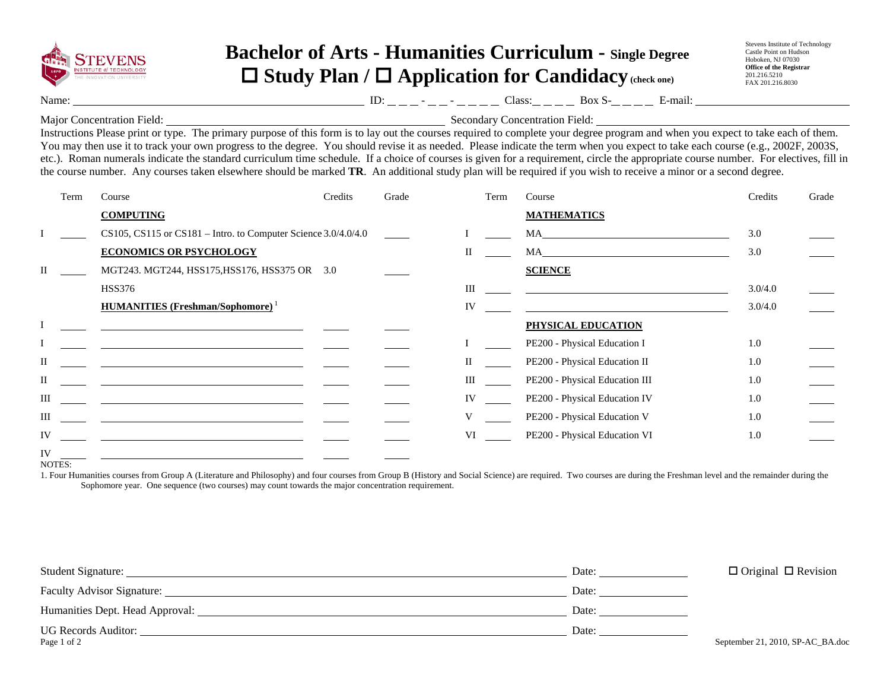

## **Bachelor of Arts - Humanities Curriculum - Single Degree Study Plan / Application for Candidacy (check one)**

Stevens Institute of Technology Castle Point on Hudson Hoboken, NJ 07030 **Office of the Registrar**  201.216.5210 FAX 201.216.8030

Name: ID: - - Class: Box S- E-mail:

Major Concentration Field: Secondary Concentration Field:

Instructions Please print or type. The primary purpose of this form is to lay out the courses required to complete your degree program and when you expect to take each of them. You may then use it to track your own progress to the degree. You should revise it as needed. Please indicate the term when you expect to take each course (e.g., 2002F, 2003S, etc.). Roman numerals indicate the standard curriculum time schedule. If a choice of courses is given for a requirement, circle the appropriate course number. For electives, fill in the course number. Any courses taken elsewhere should be marked **TR**. An additional study plan will be required if you wish to receive a minor or a second degree.

|              | Term | Course                                                                                                                | Credits | Grade | Term | Course                                                                                                                                                                                                                                                    | Credits | Grade |
|--------------|------|-----------------------------------------------------------------------------------------------------------------------|---------|-------|------|-----------------------------------------------------------------------------------------------------------------------------------------------------------------------------------------------------------------------------------------------------------|---------|-------|
|              |      | <b>COMPUTING</b>                                                                                                      |         |       |      | <b>MATHEMATICS</b>                                                                                                                                                                                                                                        |         |       |
|              |      | CS105, CS115 or CS181 – Intro. to Computer Science $3.0/4.0/4.0$                                                      |         |       |      | MA and the state of the state of the state of the state of the state of the state of the state of the state of the state of the state of the state of the state of the state of the state of the state of the state of the sta                            | 3.0     |       |
|              |      | <b>ECONOMICS OR PSYCHOLOGY</b>                                                                                        |         |       | П    | $MA$ and $MA$ and $MA$ and $MA$ and $MA$ and $MA$ and $MA$ and $MA$ and $MA$ and $MA$ and $MA$ and $MA$ and $MA$ and $MA$ and $MA$ and $MA$ and $MA$ and $MA$ and $MA$ and $MA$ and $MA$ and $MA$ and $MA$ and $MA$ and $MA$ and $MA$ and $MA$ and $MA$ a | 3.0     |       |
| $\mathbf{I}$ |      | MGT243. MGT244, HSS175, HSS176, HSS375 OR 3.0                                                                         |         |       |      | <b>SCIENCE</b>                                                                                                                                                                                                                                            |         |       |
|              |      | <b>HSS376</b>                                                                                                         |         |       | Ш    | <u> 1989 - Johann Barn, fransk politik amerikansk politik (</u>                                                                                                                                                                                           | 3.0/4.0 |       |
|              |      | <b>HUMANITIES</b> (Freshman/Sophomore)                                                                                |         |       | IV   |                                                                                                                                                                                                                                                           | 3.0/4.0 |       |
|              |      |                                                                                                                       |         |       |      | PHYSICAL EDUCATION                                                                                                                                                                                                                                        |         |       |
|              |      | <u> 1989 - Jan Salaman Salaman (j. 1989)</u>                                                                          |         |       |      | PE200 - Physical Education I                                                                                                                                                                                                                              | 1.0     |       |
| $\mathbf I$  |      | <u> 1989 - Johann Stoff, amerikansk politiker (* 1908)</u>                                                            |         |       | П    | PE200 - Physical Education II                                                                                                                                                                                                                             | 1.0     |       |
| $\mathbf{I}$ |      | <u> 1989 - Johann Barbara, martin amerikan basar dan berasal dalam basa dalam basa dalam basa dalam basa dalam b</u>  |         |       | III  | PE200 - Physical Education III                                                                                                                                                                                                                            | 1.0     |       |
| III          |      | <u> 1989 - Johann Barbara, martin amerikan basar dan basa dan basar dan basar dalam basa dalam basa dalam basa da</u> |         |       | IV   | PE200 - Physical Education IV                                                                                                                                                                                                                             | 1.0     |       |
| III          |      | <u> 1999 - Johann Harry Harry Harry Harry Harry Harry Harry Harry Harry Harry Harry Harry Harry Harry Harry Harry</u> |         |       |      | PE200 - Physical Education V                                                                                                                                                                                                                              | 1.0     |       |
| <b>IV</b>    |      | <u> 1989 - Johann Stoff, amerikansk politiker (</u>                                                                   |         |       | VI   | PE200 - Physical Education VI                                                                                                                                                                                                                             | 1.0     |       |
| IV           |      |                                                                                                                       |         |       |      |                                                                                                                                                                                                                                                           |         |       |

NOTES:

1. Four Humanities courses from Group A (Literature and Philosophy) and four courses from Group B (History and Social Science) are required. Two courses are during the Freshman level and the remainder during the Sophomore year. One sequence (two courses) may count towards the major concentration requirement.

| Student Signature:              | Date: | $\Box$ Original $\Box$ Revision  |
|---------------------------------|-------|----------------------------------|
| Faculty Advisor Signature:      | Date: |                                  |
| Humanities Dept. Head Approval: | Date: |                                  |
| <b>UG Records Auditor:</b>      | Date: |                                  |
| Page 1 of 2                     |       | September 21, 2010, SP-AC_BA.doc |